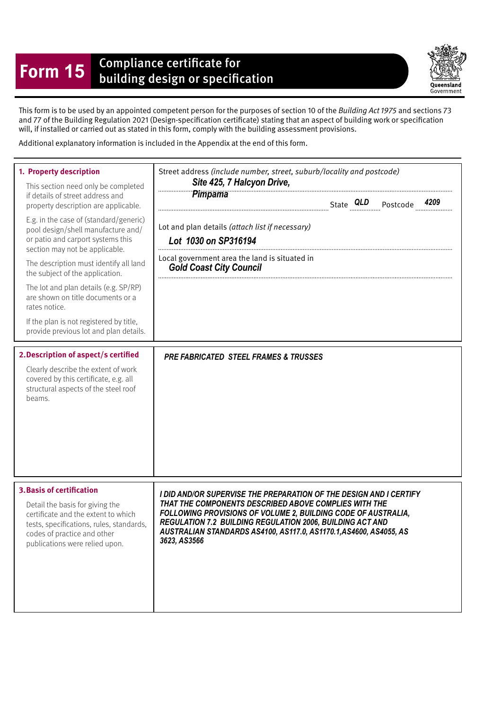## **Form 15** Compliance certificate for<br>building design or specification

Queensland Government

This form is to be used by an appointed competent person for the purposes of section 10 of the Building Act 1975 and sections 73 and 77 of the Building Regulation 2021 (Design-specifcation certifcate) stating that an aspect of building work or specifcation will, if installed or carried out as stated in this form, comply with the building assessment provisions.

Additional explanatory information is included in the Appendix at the end of this form.

| 1. Property description<br>This section need only be completed<br>if details of street address and<br>property description are applicable.<br>E.g. in the case of (standard/generic)<br>pool design/shell manufacture and/<br>or patio and carport systems this<br>section may not be applicable.<br>The description must identify all land<br>the subject of the application.<br>The lot and plan details (e.g. SP/RP)<br>are shown on title documents or a<br>rates notice.<br>If the plan is not registered by title,<br>provide previous lot and plan details.<br>2. Description of aspect/s certified<br>Clearly describe the extent of work<br>covered by this certificate, e.g. all | Street address (include number, street, suburb/locality and postcode)<br>Site 425, 7 Halcyon Drive,<br>Pimpama<br>Lot and plan details (attach list if necessary)<br>Lot 1030 on SP316194<br>Local government area the land is situated in<br><b>Gold Coast City Council</b><br><b>PRE FABRICATED STEEL FRAMES &amp; TRUSSES</b>                       |
|--------------------------------------------------------------------------------------------------------------------------------------------------------------------------------------------------------------------------------------------------------------------------------------------------------------------------------------------------------------------------------------------------------------------------------------------------------------------------------------------------------------------------------------------------------------------------------------------------------------------------------------------------------------------------------------------|--------------------------------------------------------------------------------------------------------------------------------------------------------------------------------------------------------------------------------------------------------------------------------------------------------------------------------------------------------|
| structural aspects of the steel roof<br>beams.<br><b>3. Basis of certification</b><br>Detail the basis for giving the<br>certificate and the extent to which<br>tests, specifications, rules, standards,<br>codes of practice and other<br>publications were relied upon.                                                                                                                                                                                                                                                                                                                                                                                                                  | I DID AND/OR SUPERVISE THE PREPARATION OF THE DESIGN AND I CERTIFY<br>THAT THE COMPONENTS DESCRIBED ABOVE COMPLIES WITH THE<br>FOLLOWING PROVISIONS OF VOLUME 2, BUILDING CODE OF AUSTRALIA,<br><b>REGULATION 7.2 BUILDING REGULATION 2006, BUILDING ACT AND</b><br>AUSTRALIAN STANDARDS AS4100, AS117.0, AS1170.1, AS4600, AS4055, AS<br>3623, AS3566 |